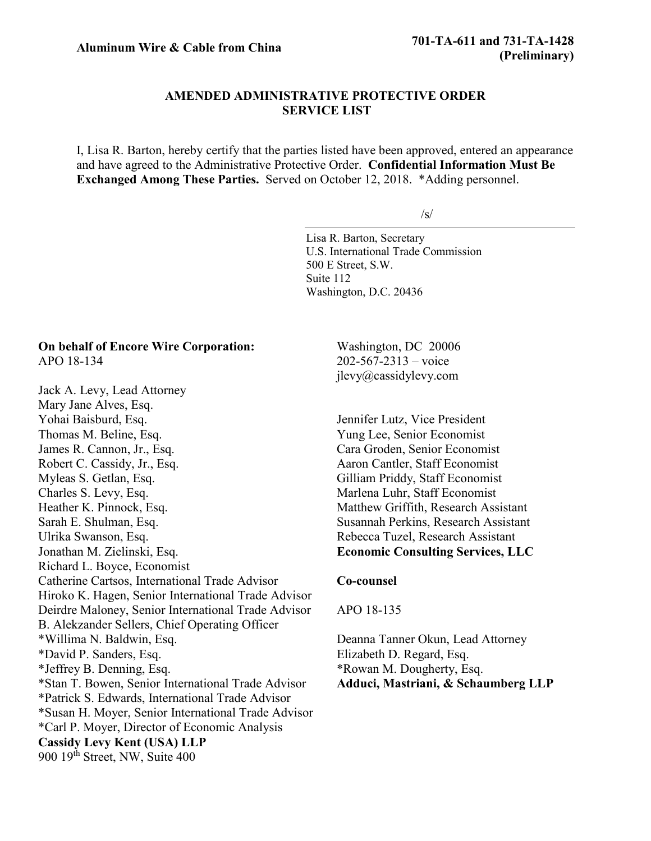# **AMENDED ADMINISTRATIVE PROTECTIVE ORDER SERVICE LIST**

I, Lisa R. Barton, hereby certify that the parties listed have been approved, entered an appearance and have agreed to the Administrative Protective Order. **Confidential Information Must Be Exchanged Among These Parties.** Served on October 12, 2018. \*Adding personnel.

 $\sqrt{s}$ 

Lisa R. Barton, Secretary U.S. International Trade Commission 500 E Street, S.W. Suite 112 Washington, D.C. 20436

# **On behalf of Encore Wire Corporation:** APO 18-134

Jack A. Levy, Lead Attorney Mary Jane Alves, Esq. Yohai Baisburd, Esq. Thomas M. Beline, Esq. James R. Cannon, Jr., Esq. Robert C. Cassidy, Jr., Esq. Myleas S. Getlan, Esq. Charles S. Levy, Esq. Heather K. Pinnock, Esq. Sarah E. Shulman, Esq. Ulrika Swanson, Esq. Jonathan M. Zielinski, Esq. Richard L. Boyce, Economist Catherine Cartsos, International Trade Advisor Hiroko K. Hagen, Senior International Trade Advisor Deirdre Maloney, Senior International Trade Advisor B. Alekzander Sellers, Chief Operating Officer \*Willima N. Baldwin, Esq. \*David P. Sanders, Esq. \*Jeffrey B. Denning, Esq. \*Stan T. Bowen, Senior International Trade Advisor \*Patrick S. Edwards, International Trade Advisor \*Susan H. Moyer, Senior International Trade Advisor \*Carl P. Moyer, Director of Economic Analysis **Cassidy Levy Kent (USA) LLP** 900  $19<sup>th</sup>$  Street, NW, Suite 400

Washington, DC 20006 202-567-2313 – voice jlevy@cassidylevy.com

Jennifer Lutz, Vice President Yung Lee, Senior Economist Cara Groden, Senior Economist Aaron Cantler, Staff Economist Gilliam Priddy, Staff Economist Marlena Luhr, Staff Economist Matthew Griffith, Research Assistant Susannah Perkins, Research Assistant Rebecca Tuzel, Research Assistant **Economic Consulting Services, LLC**

### **Co-counsel**

### APO 18-135

Deanna Tanner Okun, Lead Attorney Elizabeth D. Regard, Esq. \*Rowan M. Dougherty, Esq. **Adduci, Mastriani, & Schaumberg LLP**